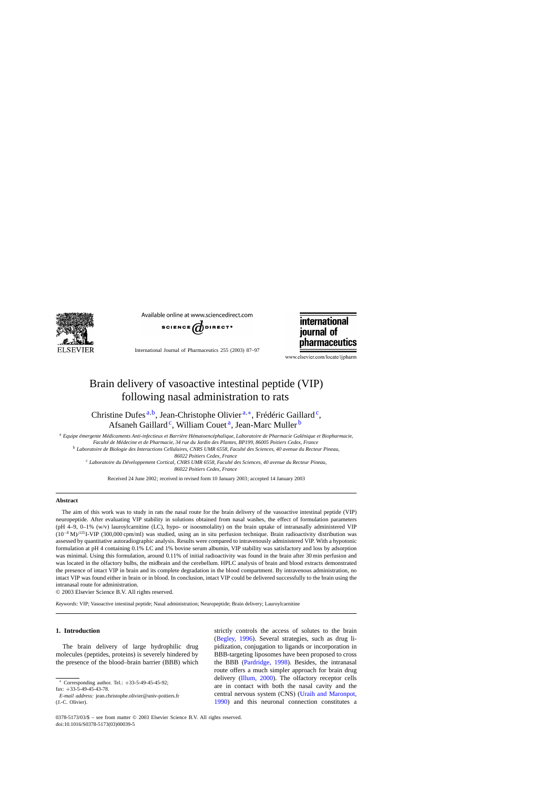

Available online at www.sciencedirect.com



International Journal of Pharmaceutics 255 (2003) 87–97



www.elsevier.com/locate/ijpharm

# Brain delivery of vasoactive intestinal peptide (VIP) following nasal administration to rats

Christine Dufes<sup>a,b</sup>, Jean-Christophe Olivier<sup>a,∗</sup>, Frédéric Gaillard<sup>c</sup>, Afsaneh Gaillard<sup>c</sup>, William Couet<sup>a</sup>, Jean-Marc Muller<sup>b</sup>

<sup>a</sup> *Equipe émergente Médicaments Anti-infectieux et Barrière Hématoencéphalique, Laboratoire de Pharmacie Galénique et Biopharmacie, Faculté de Médecine et de Pharmacie, 34 rue du Jardin des Plantes, BP199, 86005 Poitiers Cedex, France* <sup>b</sup> *Laboratoire de Biologie des Interactions Cellulaires, CNRS UMR 6558, Faculté des Sciences, 40 avenue du Recteur Pineau, 86022 Poitiers Cedex, France*

<sup>c</sup> *Laboratoire du Développement Cortical, CNRS UMR 6558, Faculté des Sciences, 40 avenue du Recteur Pineau, 86022 Poitiers Cedex, France*

Received 24 June 2002; received in revised form 10 January 2003; accepted 14 January 2003

# **Abstract**

The aim of this work was to study in rats the nasal route for the brain delivery of the vasoactive intestinal peptide (VIP) neuropeptide. After evaluating VIP stability in solutions obtained from nasal washes, the effect of formulation parameters  $(pH 4-9, 0-1% (w/v)$  lauroylcarnitine (LC), hypo- or isoosmolality) on the brain uptake of intranasally administered VIP  $(10^{-8} \text{ M})$ <sup>125</sup>I-VIP (300,000 cpm/ml) was studied, using an in situ perfusion technique. Brain radioactivity distribution was assessed by quantitative autoradiographic analysis. Results were compared to intravenously administered VIP. With a hypotonic formulation at pH 4 containing 0.1% LC and 1% bovine serum albumin, VIP stability was satisfactory and loss by adsorption was minimal. Using this formulation, around 0.11% of initial radioactivity was found in the brain after 30 min perfusion and was located in the olfactory bulbs, the midbrain and the cerebellum. HPLC analysis of brain and blood extracts demonstrated the presence of intact VIP in brain and its complete degradation in the blood compartment. By intravenous administration, no intact VIP was found either in brain or in blood. In conclusion, intact VIP could be delivered successfully to the brain using the intranasal route for administration.

© 2003 Elsevier Science B.V. All rights reserved.

*Keywords:* VIP; Vasoactive intestinal peptide; Nasal administration; Neuropeptide; Brain delivery; Lauroylcarnitine

# **1. Introduction**

The brain delivery of large hydrophilic drug molecules (peptides, proteins) is severely hindered by the presence of the blood–brain barrier (BBB) which

fax: +33-5-49-45-43-78.

strictly controls the access of solutes to the brain ([Begley, 1996\)](#page-9-0). Several strategies, such as drug lipidization, conjugation to ligands or incorporation in BBB-targeting liposomes have been proposed to cross the BBB [\(Pardridge, 1998\)](#page-10-0). Besides, the intranasal route offers a much simpler approach for brain drug delivery ([Illum, 2000\).](#page-9-0) The olfactory receptor cells are in contact with both the nasal cavity and the central nervous system (CNS) ([Uraih and Maronpot,](#page-10-0) [1990\)](#page-10-0) and this neuronal connection constitutes a

Corresponding author. Tel.:  $+33-5-49-45-92$ ;

*E-mail address:* jean.christophe.olivier@univ-poitiers.fr (J.-C. Olivier).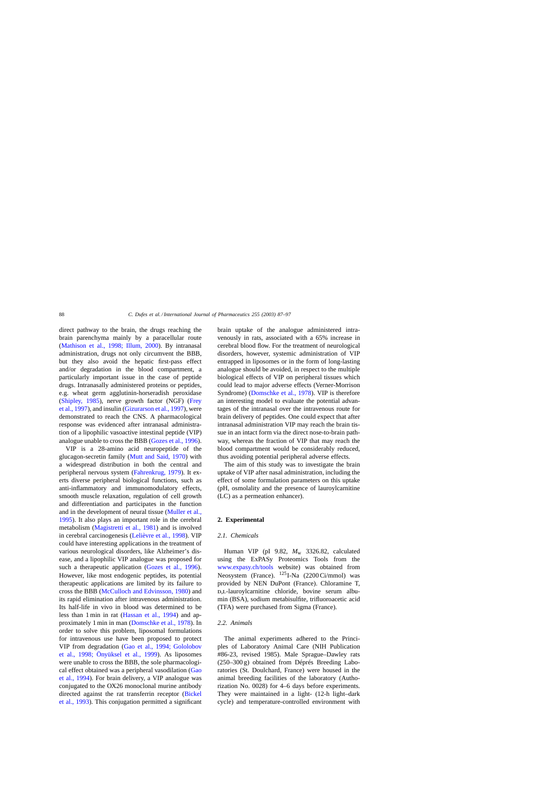<span id="page-1-0"></span>direct pathway to the brain, the drugs reaching the brain parenchyma mainly by a paracellular route ([Mathison et al., 1998; Illum, 2000](#page-10-0)). By intranasal administration, drugs not only circumvent the BBB, but they also avoid the hepatic first-pass effect and/or degradation in the blood compartment, a particularly important issue in the case of peptide drugs. Intranasally administered proteins or peptides, e.g. wheat germ agglutinin-horseradish peroxidase ([Shipley, 1985\)](#page-10-0), nerve growth factor (NGF) [\(Frey](#page-9-0) [et al., 1997\), a](#page-9-0)nd insulin [\(Gizurarson et al., 1997\), w](#page-9-0)ere demonstrated to reach the CNS. A pharmacological response was evidenced after intranasal administration of a lipophilic vasoactive intestinal peptide (VIP) analogue unable to cross the BBB [\(Gozes et al., 1996\).](#page-9-0)

VIP is a 28-amino acid neuropeptide of the glucagon-secretin family [\(Mutt and Said, 1970\)](#page-10-0) with a widespread distribution in both the central and peripheral nervous system ([Fahrenkrug, 1979\).](#page-9-0) It exerts diverse peripheral biological functions, such as anti-inflammatory and immunomodulatory effects, smooth muscle relaxation, regulation of cell growth and differentiation and participates in the function and in the development of neural tissue ([Muller et al.,](#page-10-0) [1995\).](#page-10-0) It also plays an important role in the cerebral metabolism [\(Magistretti et al., 1981\)](#page-9-0) and is involved in cerebral carcinogenesis [\(Lelièvre et al., 1998\).](#page-9-0) VIP could have interesting applications in the treatment of various neurological disorders, like Alzheimer's disease, and a lipophilic VIP analogue was proposed for such a therapeutic application [\(Gozes et al., 1996\)](#page-9-0). However, like most endogenic peptides, its potential therapeutic applications are limited by its failure to cross the BBB [\(McCulloch and Edvinsson, 1980\)](#page-10-0) and its rapid elimination after intravenous administration. Its half-life in vivo in blood was determined to be less than 1 min in rat ([Hassan et al., 1994\)](#page-9-0) and approximately 1 min in man [\(Domschke et al., 1978\).](#page-9-0) In order to solve this problem, liposomal formulations for intravenous use have been proposed to protect VIP from degradation [\(Gao et al., 1994; Gololobov](#page-9-0) [et al., 1998; Önyüksel et al., 199](#page-9-0)9). As liposomes were unable to cross the BBB, the sole pharmacological effect obtained was a peripheral vasodilation ([Gao](#page-9-0) [et al., 1994\).](#page-9-0) For brain delivery, a VIP analogue was conjugated to the OX26 monoclonal murine antibody directed against the rat transferrin receptor ([Bickel](#page-9-0) [et al., 1993\).](#page-9-0) This conjugation permitted a significant brain uptake of the analogue administered intravenously in rats, associated with a 65% increase in cerebral blood flow. For the treatment of neurological disorders, however, systemic administration of VIP entrapped in liposomes or in the form of long-lasting analogue should be avoided, in respect to the multiple biological effects of VIP on peripheral tissues which could lead to major adverse effects (Verner-Morrison Syndrome) ([Domschke et al., 1978\).](#page-9-0) VIP is therefore an interesting model to evaluate the potential advantages of the intranasal over the intravenous route for brain delivery of peptides. One could expect that after intranasal administration VIP may reach the brain tissue in an intact form via the direct nose-to-brain pathway, whereas the fraction of VIP that may reach the blood compartment would be considerably reduced, thus avoiding potential peripheral adverse effects.

The aim of this study was to investigate the brain uptake of VIP after nasal administration, including the effect of some formulation parameters on this uptake (pH, osmolality and the presence of lauroylcarnitine (LC) as a permeation enhancer).

# **2. Experimental**

# *2.1. Chemicals*

Human VIP (pI 9.82,  $M_{\text{w}}$  3326.82, calculated using the ExPASy Proteomics Tools from the [www.expasy.ch/tools](http://www.expasy.ch/tools) website) was obtained from Neosystem (France).  $^{125}$ I-Na (2200 Ci/mmol) was provided by NEN DuPont (France). Chloramine T,  $D,L$ -lauroylcarnitine chloride, bovine serum albumin (BSA), sodium metabisulfite, trifluoroacetic acid (TFA) were purchased from Sigma (France).

# *2.2. Animals*

The animal experiments adhered to the Principles of Laboratory Animal Care (NIH Publication #86-23, revised 1985). Male Sprague–Dawley rats (250–300 g) obtained from Déprés Breeding Laboratories (St. Doulchard, France) were housed in the animal breeding facilities of the laboratory (Authorization No. 0028) for 4–6 days before experiments. They were maintained in a light- (12-h light–dark cycle) and temperature-controlled environment with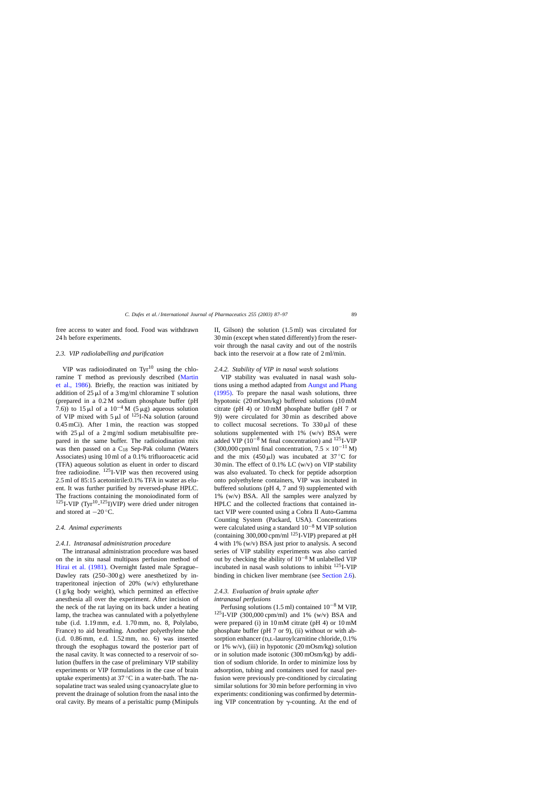free access to water and food. Food was withdrawn 24 h before experiments.

# *2.3. VIP radiolabelling and purification*

VIP was radioiodinated on  $Tvr^{10}$  using the chloramine T method as previously described [\(Martin](#page-9-0) [et al., 1986\)](#page-9-0). Briefly, the reaction was initiated by addition of  $25 \mu l$  of a 3 mg/ml chloramine T solution (prepared in a 0.2 M sodium phosphate buffer (pH 7.6)) to 15  $\mu$ l of a 10<sup>-4</sup> M (5 $\mu$ g) aqueous solution of VIP mixed with  $5 \mu l$  of  $^{125}$ I-Na solution (around 0.45 mCi). After 1 min, the reaction was stopped with  $25 \mu l$  of a  $2 \text{ mg/ml}$  sodium metabisulfite prepared in the same buffer. The radioiodination mix was then passed on a  $C_{18}$  Sep-Pak column (Waters Associates) using 10 ml of a 0.1% trifluoroacetic acid (TFA) aqueous solution as eluent in order to discard free radioiodine.  $^{125}$ I-VIP was then recovered using 2.5 ml of 85:15 acetonitrile:0.1% TFA in water as eluent. It was further purified by reversed-phase HPLC. The fractions containing the monoiodinated form of  $125$ I-VIP (Tyr<sup>10</sup>-<sup>125</sup>I)VIP) were dried under nitrogen and stored at  $-20^\circ$ C.

#### *2.4. Animal experiments*

# *2.4.1. Intranasal administration procedure*

The intranasal administration procedure was based on the in situ nasal multipass perfusion method of [Hirai et al. \(1981\).](#page-9-0) Overnight fasted male Sprague– Dawley rats  $(250-300 \text{ g})$  were anesthetized by intraperitoneal injection of 20% (w/v) ethylurethane (1 g/kg body weight), which permitted an effective anesthesia all over the experiment. After incision of the neck of the rat laying on its back under a heating lamp, the trachea was cannulated with a polyethylene tube (i.d. 1.19 mm, e.d. 1.70 mm, no. 8, Polylabo, France) to aid breathing. Another polyethylene tube (i.d. 0.86 mm, e.d. 1.52 mm, no. 6) was inserted through the esophagus toward the posterior part of the nasal cavity. It was connected to a reservoir of solution (buffers in the case of preliminary VIP stability experiments or VIP formulations in the case of brain uptake experiments) at  $37^{\circ}$ C in a water-bath. The nasopalatine tract was sealed using cyanoacrylate glue to prevent the drainage of solution from the nasal into the oral cavity. By means of a peristaltic pump (Minipuls

II, Gilson) the solution (1.5 ml) was circulated for 30 min (except when stated differently) from the reservoir through the nasal cavity and out of the nostrils back into the reservoir at a flow rate of 2 ml/min.

#### *2.4.2. Stability of VIP in nasal wash solutions*

VIP stability was evaluated in nasal wash solutions using a method adapted from [Aungst and Phang](#page-9-0) [\(1995\).](#page-9-0) To prepare the nasal wash solutions, three hypotonic (20 mOsm/kg) buffered solutions (10 mM citrate (pH 4) or 10 mM phosphate buffer (pH 7 or 9)) were circulated for 30 min as described above to collect mucosal secretions. To  $330 \mu l$  of these solutions supplemented with  $1\%$  (w/v) BSA were added VIP ( $10^{-8}$  M final concentration) and  $125$ I-VIP  $(300,000 \text{ cpm/ml final concentration}, 7.5 \times 10^{-11} \text{ M})$ and the mix  $(450 \,\mu\text{J})$  was incubated at 37 °C for 30 min. The effect of 0.1% LC (w/v) on VIP stability was also evaluated. To check for peptide adsorption onto polyethylene containers, VIP was incubated in buffered solutions (pH 4, 7 and 9) supplemented with 1% (w/v) BSA. All the samples were analyzed by HPLC and the collected fractions that contained intact VIP were counted using a Cobra II Auto-Gamma Counting System (Packard, USA). Concentrations were calculated using a standard 10−<sup>8</sup> M VIP solution (containing  $300,000$  cpm/ml  $^{125}$ I-VIP) prepared at pH 4 with 1% (w/v) BSA just prior to analysis. A second series of VIP stability experiments was also carried out by checking the ability of 10−<sup>8</sup> M unlabelled VIP incubated in nasal wash solutions to inhibit 125I-VIP binding in chicken liver membrane (see [Section 2.6\).](#page-3-0)

# *2.4.3. Evaluation of brain uptake after intranasal perfusions*

Perfusing solutions (1.5 ml) contained  $10^{-8}$  M VIP,  $125$ I-VIP (300,000 cpm/ml) and 1% (w/v) BSA and were prepared (i) in 10 mM citrate (pH 4) or 10 mM phosphate buffer (pH 7 or 9), (ii) without or with absorption enhancer (D,L-lauroylcarnitine chloride, 0.1%) or 1% w/v), (iii) in hypotonic  $(20 \text{ mOsm/kg})$  solution or in solution made isotonic (300 mOsm/kg) by addition of sodium chloride. In order to minimize loss by adsorption, tubing and containers used for nasal perfusion were previously pre-conditioned by circulating similar solutions for 30 min before performing in vivo experiments: conditioning was confirmed by determining VIP concentration by  $\gamma$ -counting. At the end of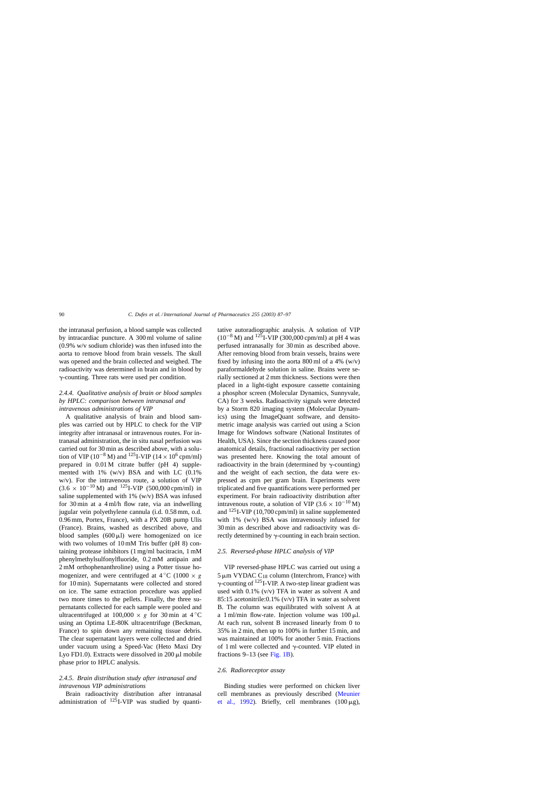<span id="page-3-0"></span>the intranasal perfusion, a blood sample was collected by intracardiac puncture. A 300 ml volume of saline (0.9% w/v sodium chloride) was then infused into the aorta to remove blood from brain vessels. The skull was opened and the brain collected and weighed. The radioactivity was determined in brain and in blood by --counting. Three rats were used per condition.

# *2.4.4. Qualitative analysis of brain or blood samples by HPLC: comparison between intranasal and intravenous administrations of VIP*

A qualitative analysis of brain and blood samples was carried out by HPLC to check for the VIP integrity after intranasal or intravenous routes. For intranasal administration, the in situ nasal perfusion was carried out for 30 min as described above, with a solution of VIP ( $10^{-8}$  M) and <sup>125</sup>I-VIP ( $14 \times 10^{6}$  cpm/ml) prepared in 0.01 M citrate buffer (pH 4) supplemented with 1% (w/v) BSA and with LC (0.1% w/v). For the intravenous route, a solution of VIP  $(3.6 \times 10^{-10} \text{ M})$  and <sup>125</sup>I-VIP (500,000 cpm/ml) in saline supplemented with 1% (w/v) BSA was infused for 30 min at a 4 ml/h flow rate, via an indwelling jugular vein polyethylene cannula (i.d. 0.58 mm, o.d. 0.96 mm, Portex, France), with a PX 20B pump Ulis (France). Brains, washed as described above, and blood samples  $(600 \mu l)$  were homogenized on ice with two volumes of 10 mM Tris buffer (pH 8) containing protease inhibitors (1 mg/ml bacitracin, 1 mM phenylmethylsulfonylfluoride, 0.2 mM antipain and 2 mM orthophenanthroline) using a Potter tissue homogenizer, and were centrifuged at  $4^{\circ}$ C (1000  $\times$  g for 10 min). Supernatants were collected and stored on ice. The same extraction procedure was applied two more times to the pellets. Finally, the three supernatants collected for each sample were pooled and ultracentrifuged at 100,000  $\times g$  for 30 min at 4 °C using an Optima LE-80K ultracentrifuge (Beckman, France) to spin down any remaining tissue debris. The clear supernatant layers were collected and dried under vacuum using a Speed-Vac (Heto Maxi Dry Lyo FD1.0). Extracts were dissolved in  $200 \mu l$  mobile phase prior to HPLC analysis.

# *2.4.5. Brain distribution study after intranasal and intravenous VIP administrations*

Brain radioactivity distribution after intranasal administration of  $125$ I-VIP was studied by quantitative autoradiographic analysis. A solution of VIP  $(10^{-8} \text{ M})$  and <sup>125</sup>I-VIP (300,000 cpm/ml) at pH 4 was perfused intranasally for 30 min as described above. After removing blood from brain vessels, brains were fixed by infusing into the aorta 800 ml of a 4%  $(w/v)$ paraformaldehyde solution in saline. Brains were serially sectioned at 2 mm thickness. Sections were then placed in a light-tight exposure cassette containing a phosphor screen (Molecular Dynamics, Sunnyvale, CA) for 3 weeks. Radioactivity signals were detected by a Storm 820 imaging system (Molecular Dynamics) using the ImageQuant software, and densitometric image analysis was carried out using a Scion Image for Windows software (National Institutes of Health, USA). Since the section thickness caused poor anatomical details, fractional radioactivity per section was presented here. Knowing the total amount of radioactivity in the brain (determined by  $\gamma$ -counting) and the weight of each section, the data were expressed as cpm per gram brain. Experiments were triplicated and five quantifications were performed per experiment. For brain radioactivity distribution after intravenous route, a solution of VIP (3.6  $\times$  10<sup>-10</sup> M) and  $^{125}$ I-VIP (10,700 cpm/ml) in saline supplemented with 1% (w/v) BSA was intravenously infused for 30 min as described above and radioactivity was directly determined by  $\gamma$ -counting in each brain section.

# *2.5. Reversed-phase HPLC analysis of VIP*

VIP reversed-phase HPLC was carried out using a  $5 \mu m$  VYDAC C<sub>18</sub> column (Interchrom, France) with  $\gamma$ -counting of <sup>125</sup>I-VIP. A two-step linear gradient was used with 0.1% (v/v) TFA in water as solvent A and 85:15 acetonitrile:0.1% (v/v) TFA in water as solvent B. The column was equilibrated with solvent A at a  $1 \text{ ml/min}$  flow-rate. Injection volume was  $100 \text{ µl}$ . At each run, solvent B increased linearly from 0 to 35% in 2 min, then up to 100% in further 15 min, and was maintained at 100% for another 5 min. Fractions of 1 ml were collected and  $\gamma$ -counted. VIP eluted in fractions 9–13 (see [Fig. 1B\).](#page-4-0)

#### *2.6. Radioreceptor assay*

Binding studies were performed on chicken liver cell membranes as previously described ([Meunier](#page-10-0) [et al., 1992](#page-10-0)). Briefly, cell membranes  $(100 \mu g)$ ,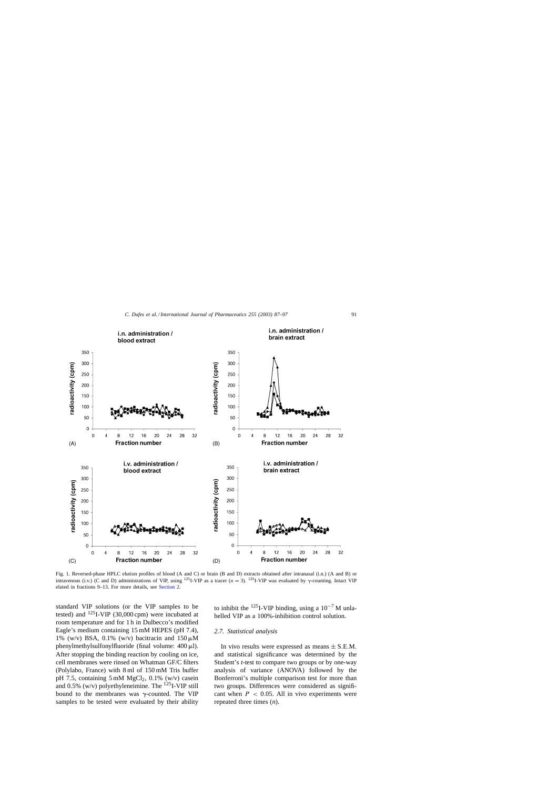<span id="page-4-0"></span>

Fig. 1. Reversed-phase HPLC elution profiles of blood (A and C) or brain (B and D) extracts obtained after intranasal (i.n.) (A and B) or intravenous (i.v.) (C and D) administrations of VIP, using <sup>125</sup>I-VIP as a tracer ( $n = 3$ ). <sup>125</sup>I-VIP was evaluated by  $\gamma$ -counting. Intact VIP eluted in fractions 9–13. For more details, see [Section 2.](#page-1-0)

standard VIP solutions (or the VIP samples to be tested) and  $^{125}$ I-VIP (30,000 cpm) were incubated at room temperature and for 1 h in Dulbecco's modified Eagle's medium containing 15 mM HEPES (pH 7.4), 1% (w/v) BSA, 0.1% (w/v) bacitracin and  $150 \mu M$ phenylmethylsulfonylfluoride (final volume:  $400 \mu$ l). After stopping the binding reaction by cooling on ice, cell membranes were rinsed on Whatman GF/C filters (Polylabo, France) with 8 ml of 150 mM Tris buffer pH 7.5, containing  $5 \text{ mM } MgCl<sub>2</sub>$ , 0.1% (w/v) casein and 0.5% (w/v) polyethyleneimine. The  $^{125}$ I-VIP still bound to the membranes was  $\gamma$ -counted. The VIP samples to be tested were evaluated by their ability

to inhibit the <sup>125</sup>I-VIP binding, using a  $10^{-7}$  M unlabelled VIP as a 100%-inhibition control solution.

# *2.7. Statistical analysis*

In vivo results were expressed as means  $\pm$  S.E.M. and statistical significance was determined by the Student's *t*-test to compare two groups or by one-way analysis of variance (ANOVA) followed by the Bonferroni's multiple comparison test for more than two groups. Differences were considered as significant when  $P < 0.05$ . All in vivo experiments were repeated three times (*n*).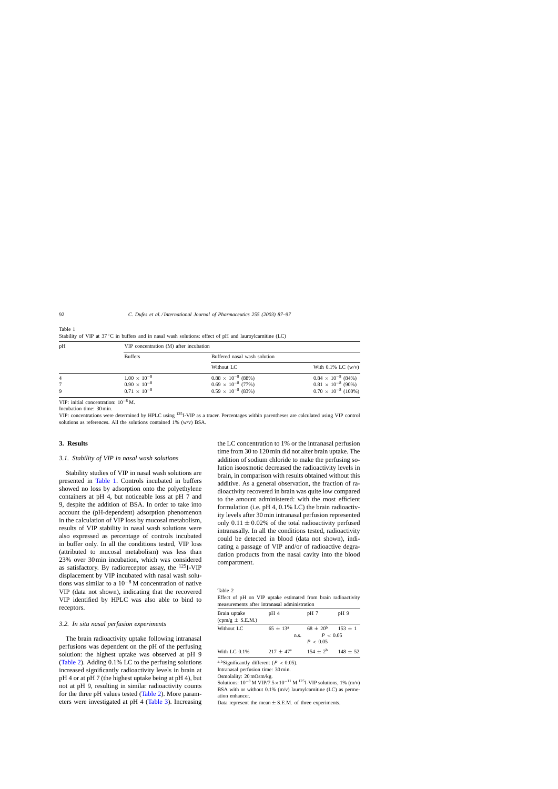| pH | VIP concentration (M) after incubation |                              |                              |  |
|----|----------------------------------------|------------------------------|------------------------------|--|
|    | <b>Buffers</b>                         | Buffered nasal wash solution |                              |  |
|    |                                        | Without LC                   | With $0.1\%$ LC (w/v)        |  |
| 4  | $1.00 \times 10^{-8}$                  | $0.88 \times 10^{-8}$ (88%)  | $0.84 \times 10^{-8}$ (84%)  |  |
|    | $0.90 \times 10^{-8}$                  | $0.69 \times 10^{-8}$ (77%)  | $0.81 \times 10^{-8}$ (90%)  |  |
| 9  | $0.71 \times 10^{-8}$                  | $0.59 \times 10^{-8}$ (83%)  | $0.70 \times 10^{-8}$ (100%) |  |

<span id="page-5-0"></span>Table 1 Stability of VIP at 37 ℃ in buffers and in nasal wash solutions: effect of pH and lauroylcarnitine (LC)

VIP: initial concentration: 10−<sup>8</sup> M.

Incubation time: 30 min.

VIP: concentrations were determined by HPLC using 125I-VIP as a tracer. Percentages within parentheses are calculated using VIP control solutions as references. All the solutions contained 1% (w/v) BSA.

## **3. Results**

#### *3.1. Stability of VIP in nasal wash solutions*

Stability studies of VIP in nasal wash solutions are presented in Table 1. Controls incubated in buffers showed no loss by adsorption onto the polyethylene containers at pH 4, but noticeable loss at pH 7 and 9, despite the addition of BSA. In order to take into account the (pH-dependent) adsorption phenomenon in the calculation of VIP loss by mucosal metabolism, results of VIP stability in nasal wash solutions were also expressed as percentage of controls incubated in buffer only. In all the conditions tested, VIP loss (attributed to mucosal metabolism) was less than 23% over 30 min incubation, which was considered as satisfactory. By radioreceptor assay, the 125I-VIP displacement by VIP incubated with nasal wash solutions was similar to a  $10^{-8}$  M concentration of native VIP (data not shown), indicating that the recovered VIP identified by HPLC was also able to bind to receptors.

#### *3.2. In situ nasal perfusion experiments*

The brain radioactivity uptake following intranasal perfusions was dependent on the pH of the perfusing solution: the highest uptake was observed at pH 9 (Table 2). Adding 0.1% LC to the perfusing solutions increased significantly radioactivity levels in brain at pH 4 or at pH 7 (the highest uptake being at pH 4), but not at pH 9, resulting in similar radioactivity counts for the three pH values tested (Table 2). More parameters were investigated at pH 4 [\(Table 3\).](#page-6-0) Increasing the LC concentration to 1% or the intranasal perfusion time from 30 to 120 min did not alter brain uptake. The addition of sodium chloride to make the perfusing solution isoosmotic decreased the radioactivity levels in brain, in comparison with results obtained without this additive. As a general observation, the fraction of radioactivity recovered in brain was quite low compared to the amount administered: with the most efficient formulation (i.e. pH 4, 0.1% LC) the brain radioactivity levels after 30 min intranasal perfusion represented only  $0.11 \pm 0.02\%$  of the total radioactivity perfused intranasally. In all the conditions tested, radioactivity could be detected in blood (data not shown), indicating a passage of VIP and/or of radioactive degradation products from the nasal cavity into the blood compartment.

Table 2 Effect of pH on VIP uptake estimated from brain radioactivity measurements after intranasal administration

| nicasarchichts anch mutanasar aghhimstration       |                             |                                         |              |  |  |  |  |
|----------------------------------------------------|-----------------------------|-----------------------------------------|--------------|--|--|--|--|
| Brain uptake<br>$\text{(cpm/g} \pm \text{S.E.M.})$ | $pH_4$                      | pH 7                                    | pH 9         |  |  |  |  |
| Without LC                                         | $65 \pm 13^{\rm a}$<br>n.s. | $68 \pm 20^{6}$<br>P < 0.05<br>P < 0.05 | $153 \pm 1$  |  |  |  |  |
| With LC $0.1\%$                                    | $217 \pm 47^{\rm a}$        | $154 + 2^b$                             | $148 \pm 52$ |  |  |  |  |

a,b Significantly different ( $P < 0.05$ ).

Intranasal perfusion time: 30 min.

Osmolality: 20 mOsm/kg.

Solutions:  $10^{-8}$  M VIP/7.5 ×  $10^{-11}$  M <sup>125</sup>I-VIP solutions, 1% (m/v) BSA with or without 0.1% (m/v) lauroylcarnitine (LC) as permeation enhancer.

Data represent the mean  $\pm$  S.E.M. of three experiments.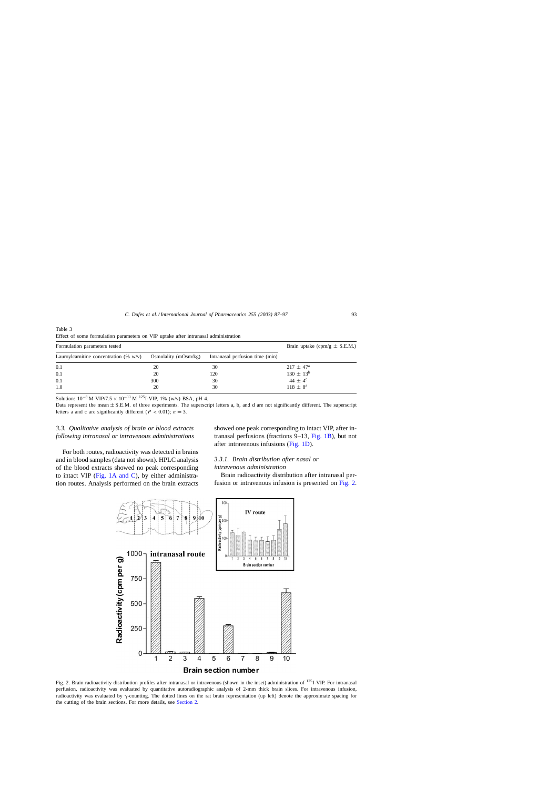| Formulation parameters tested                                  | Brain uptake (cpm/g $\pm$ S.E.M.) |                                 |                      |
|----------------------------------------------------------------|-----------------------------------|---------------------------------|----------------------|
| Lauroylcarnitine concentration $(\% w/v)$ Osmolality (mOsm/kg) |                                   | Intranasal perfusion time (min) |                      |
| 0.1                                                            | 20                                | 30                              | $217 \pm 47^{\rm a}$ |
| 0.1                                                            | 20                                | 120                             | $130 \pm 13^{b}$     |
| 0.1                                                            | 300                               | 30                              | 44 $\pm 4^{\circ}$   |
| 1.0                                                            | 20                                | 30                              | $118 \pm 8^{d}$      |

<span id="page-6-0"></span>Table 3 Effect of some formulation parameters on VIP uptake after intranasal administration

Solution:  $10^{-8}$  M VIP/7.5 ×  $10^{-11}$  M <sup>125</sup>I-VIP, 1% (w/v) BSA, pH 4.

Data represent the mean  $\pm$  S.E.M. of three experiments. The superscript letters a, b, and d are not significantly different. The superscript letters a and c are significantly different ( $P < 0.01$ );  $n = 3$ .

# *3.3. Qualitative analysis of brain or blood extracts following intranasal or intravenous administrations*

For both routes, radioactivity was detected in brains and in blood samples (data not shown). HPLC analysis of the blood extracts showed no peak corresponding to intact VIP ([Fig. 1A and C\),](#page-4-0) by either administration routes. Analysis performed on the brain extracts showed one peak corresponding to intact VIP, after intranasal perfusions (fractions 9–13, [Fig. 1B\),](#page-4-0) but not after intravenous infusions ([Fig. 1D\).](#page-4-0)

# *3.3.1. Brain distribution after nasal or intravenous administration*

Brain radioactivity distribution after intranasal perfusion or intravenous infusion is presented on Fig. 2.



Fig. 2. Brain radioactivity distribution profiles after intranasal or intravenous (shown in the inset) administration of  $^{125}I$ -VIP. For intranasal perfusion, radioactivity was evaluated by quantitative autoradiographic analysis of 2-mm thick brain slices. For intravenous infusion, radioactivity was evaluated by  $\gamma$ -counting. The dotted lines on the rat brain representation (up left) denote the approximate spacing for the cutting of the brain sections. For more details, see [Section 2.](#page-1-0)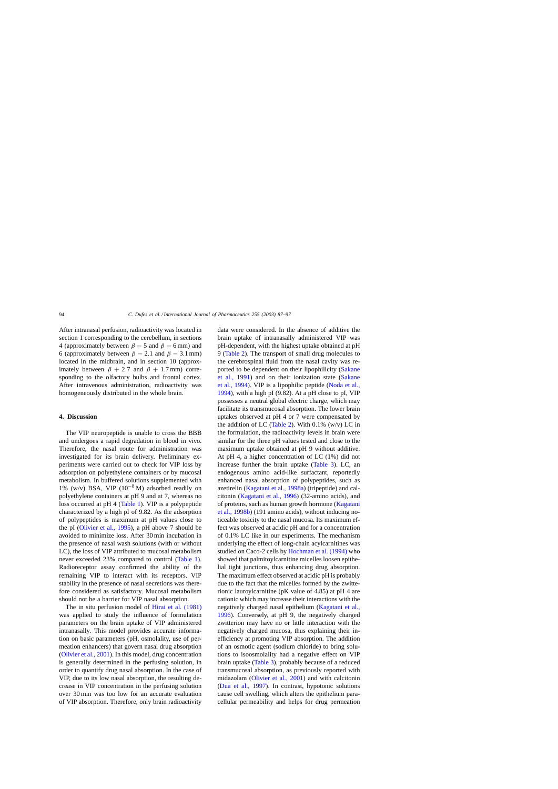After intranasal perfusion, radioactivity was located in section 1 corresponding to the cerebellum, in sections 4 (approximately between  $\beta$  – 5 and  $\beta$  – 6 mm) and 6 (approximately between  $\beta - 2.1$  and  $\beta - 3.1$  mm) located in the midbrain, and in section 10 (approximately between  $\beta + 2.7$  and  $\beta + 1.7$  mm) corresponding to the olfactory bulbs and frontal cortex. After intravenous administration, radioactivity was homogeneously distributed in the whole brain.

## **4. Discussion**

The VIP neuropeptide is unable to cross the BBB and undergoes a rapid degradation in blood in vivo. Therefore, the nasal route for administration was investigated for its brain delivery. Preliminary experiments were carried out to check for VIP loss by adsorption on polyethylene containers or by mucosal metabolism. In buffered solutions supplemented with 1% (w/v) BSA, VIP  $(10^{-8} M)$  adsorbed readily on polyethylene containers at pH 9 and at 7, whereas no loss occurred at pH 4 [\(Table 1\).](#page-5-0) VIP is a polypeptide characterized by a high pI of 9.82. As the adsorption of polypeptides is maximum at pH values close to the pI ([Olivier et al., 1995\),](#page-10-0) a pH above 7 should be avoided to minimize loss. After 30 min incubation in the presence of nasal wash solutions (with or without LC), the loss of VIP attributed to mucosal metabolism never exceeded 23% compared to control ([Table 1\).](#page-5-0) Radioreceptor assay confirmed the ability of the remaining VIP to interact with its receptors. VIP stability in the presence of nasal secretions was therefore considered as satisfactory. Mucosal metabolism should not be a barrier for VIP nasal absorption.

The in situ perfusion model of [Hirai et al. \(1981\)](#page-9-0) was applied to study the influence of formulation parameters on the brain uptake of VIP administered intranasally. This model provides accurate information on basic parameters (pH, osmolality, use of permeation enhancers) that govern nasal drug absorption ([Olivier et al., 2001\). I](#page-10-0)n this model, drug concentration is generally determined in the perfusing solution, in order to quantify drug nasal absorption. In the case of VIP, due to its low nasal absorption, the resulting decrease in VIP concentration in the perfusing solution over 30 min was too low for an accurate evaluation of VIP absorption. Therefore, only brain radioactivity data were considered. In the absence of additive the brain uptake of intranasally administered VIP was pH-dependent, with the highest uptake obtained at pH 9 ([Table 2\).](#page-5-0) The transport of small drug molecules to the cerebrospinal fluid from the nasal cavity was reported to be dependent on their lipophilicity ([Sakane](#page-10-0) [et al., 1991\)](#page-10-0) and on their ionization state ([Sakane](#page-10-0) [et al., 1994\).](#page-10-0) VIP is a lipophilic peptide [\(Noda et al.,](#page-10-0) [1994\),](#page-10-0) with a high pI (9.82). At a pH close to pI, VIP possesses a neutral global electric charge, which may facilitate its transmucosal absorption. The lower brain uptakes observed at pH 4 or 7 were compensated by the addition of LC ([Table 2\).](#page-5-0) With  $0.1\%$  (w/v) LC in the formulation, the radioactivity levels in brain were similar for the three pH values tested and close to the maximum uptake obtained at pH 9 without additive. At pH 4, a higher concentration of LC (1%) did not increase further the brain uptake ([Table 3\).](#page-6-0) LC, an endogenous amino acid-like surfactant, reportedly enhanced nasal absorption of polypeptides, such as azetirelin [\(Kagatani et al., 1998a\) \(](#page-9-0)tripeptide) and calcitonin ([Kagatani et al., 1996\)](#page-9-0) (32-amino acids), and of proteins, such as human growth hormone ([Kagatani](#page-9-0) [et al., 1998b\) \(](#page-9-0)191 amino acids), without inducing noticeable toxicity to the nasal mucosa. Its maximum effect was observed at acidic pH and for a concentration of 0.1% LC like in our experiments. The mechanism underlying the effect of long-chain acylcarnitines was studied on Caco-2 cells by [Hochman et al. \(1994\)](#page-9-0) who showed that palmitoylcarnitine micelles loosen epithelial tight junctions, thus enhancing drug absorption. The maximum effect observed at acidic pH is probably due to the fact that the micelles formed by the zwitterionic lauroylcarnitine (pK value of 4.85) at pH 4 are cationic which may increase their interactions with the negatively charged nasal epithelium [\(Kagatani et al.,](#page-9-0) [1996\).](#page-9-0) Conversely, at pH 9, the negatively charged zwitterion may have no or little interaction with the negatively charged mucosa, thus explaining their inefficiency at promoting VIP absorption. The addition of an osmotic agent (sodium chloride) to bring solutions to isoosmolality had a negative effect on VIP brain uptake ([Table 3\),](#page-6-0) probably because of a reduced transmucosal absorption, as previously reported with midazolam ([Olivier et al., 2001\)](#page-10-0) and with calcitonin ([Dua et al., 1997\)](#page-9-0). In contrast, hypotonic solutions cause cell swelling, which alters the epithelium paracellular permeability and helps for drug permeation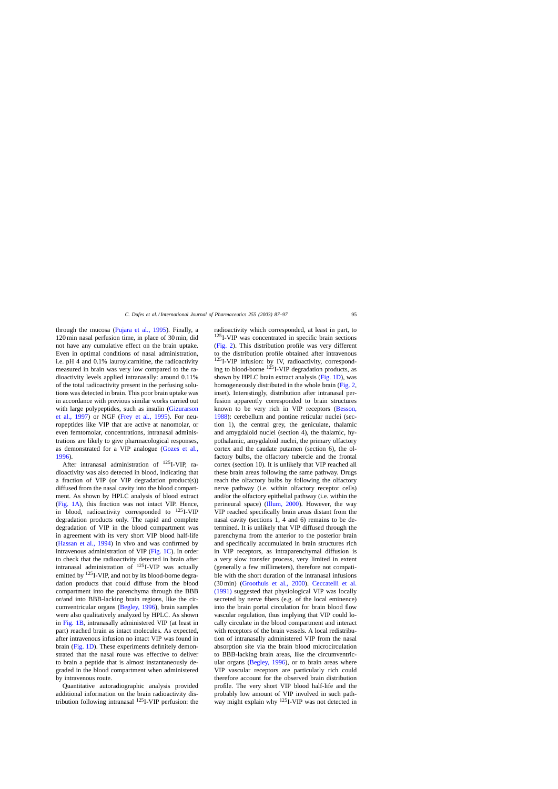through the mucosa ([Pujara et al., 1995\)](#page-10-0). Finally, a 120 min nasal perfusion time, in place of 30 min, did not have any cumulative effect on the brain uptake. Even in optimal conditions of nasal administration, i.e. pH 4 and 0.1% lauroylcarnitine, the radioactivity measured in brain was very low compared to the radioactivity levels applied intranasally: around 0.11% of the total radioactivity present in the perfusing solutions was detected in brain. This poor brain uptake was in accordance with previous similar works carried out with large polypeptides, such as insulin [\(Gizurarson](#page-9-0) [et al., 1997\)](#page-9-0) or NGF ([Frey et al., 1995](#page-9-0)). For neuropeptides like VIP that are active at nanomolar, or even femtomolar, concentrations, intranasal administrations are likely to give pharmacological responses, as demonstrated for a VIP analogue ([Gozes et al.,](#page-9-0)

[1996\).](#page-9-0) After intranasal administration of  $^{125}$ I-VIP, radioactivity was also detected in blood, indicating that a fraction of VIP (or VIP degradation product(s)) diffused from the nasal cavity into the blood compartment. As shown by HPLC analysis of blood extract ([Fig. 1A\),](#page-4-0) this fraction was not intact VIP. Hence, in blood, radioactivity corresponded to 125I-VIP degradation products only. The rapid and complete degradation of VIP in the blood compartment was in agreement with its very short VIP blood half-life ([Hassan et al., 1994\)](#page-9-0) in vivo and was confirmed by intravenous administration of VIP ([Fig. 1C\).](#page-4-0) In order to check that the radioactivity detected in brain after intranasal administration of 125I-VIP was actually emitted by  $^{125}$ I-VIP, and not by its blood-borne degradation products that could diffuse from the blood compartment into the parenchyma through the BBB or/and into BBB-lacking brain regions, like the circumventricular organs [\(Begley, 1996\),](#page-9-0) brain samples were also qualitatively analyzed by HPLC. As shown in [Fig. 1B,](#page-4-0) intranasally administered VIP (at least in part) reached brain as intact molecules. As expected, after intravenous infusion no intact VIP was found in brain ([Fig. 1D\).](#page-4-0) These experiments definitely demonstrated that the nasal route was effective to deliver to brain a peptide that is almost instantaneously degraded in the blood compartment when administered by intravenous route.

Quantitative autoradiographic analysis provided additional information on the brain radioactivity distribution following intranasal 125I-VIP perfusion: the

radioactivity which corresponded, at least in part, to 125I-VIP was concentrated in specific brain sections ([Fig. 2\).](#page-6-0) This distribution profile was very different to the distribution profile obtained after intravenous 125I-VIP infusion: by IV, radioactivity, corresponding to blood-borne  $125$ I-VIP degradation products, as shown by HPLC brain extract analysis ([Fig. 1D\),](#page-4-0) was homogeneously distributed in the whole brain ([Fig. 2,](#page-6-0) inset). Interestingly, distribution after intranasal perfusion apparently corresponded to brain structures known to be very rich in VIP receptors [\(Besson,](#page-9-0) [1988\):](#page-9-0) cerebellum and pontine reticular nuclei (section 1), the central grey, the geniculate, thalamic and amygdaloid nuclei (section 4), the thalamic, hypothalamic, amygdaloid nuclei, the primary olfactory cortex and the caudate putamen (section 6), the olfactory bulbs, the olfactory tubercle and the frontal cortex (section 10). It is unlikely that VIP reached all these brain areas following the same pathway. Drugs reach the olfactory bulbs by following the olfactory nerve pathway (i.e. within olfactory receptor cells) and/or the olfactory epithelial pathway (i.e. within the perineural space) [\(Illum, 2000\)](#page-9-0). However, the way VIP reached specifically brain areas distant from the nasal cavity (sections 1, 4 and 6) remains to be determined. It is unlikely that VIP diffused through the parenchyma from the anterior to the posterior brain and specifically accumulated in brain structures rich in VIP receptors, as intraparenchymal diffusion is a very slow transfer process, very limited in extent (generally a few millimeters), therefore not compatible with the short duration of the intranasal infusions (30 min) ([Groothuis et al., 2000](#page-9-0)). [Ceccatelli et al.](#page-9-0) [\(1991\)](#page-9-0) suggested that physiological VIP was locally secreted by nerve fibers (e.g. of the local eminence) into the brain portal circulation for brain blood flow vascular regulation, thus implying that VIP could locally circulate in the blood compartment and interact with receptors of the brain vessels. A local redistribution of intranasally administered VIP from the nasal absorption site via the brain blood microcirculation to BBB-lacking brain areas, like the circumventricular organs ([Begley, 1996\),](#page-9-0) or to brain areas where VIP vascular receptors are particularly rich could therefore account for the observed brain distribution profile. The very short VIP blood half-life and the probably low amount of VIP involved in such pathway might explain why <sup>125</sup>I-VIP was not detected in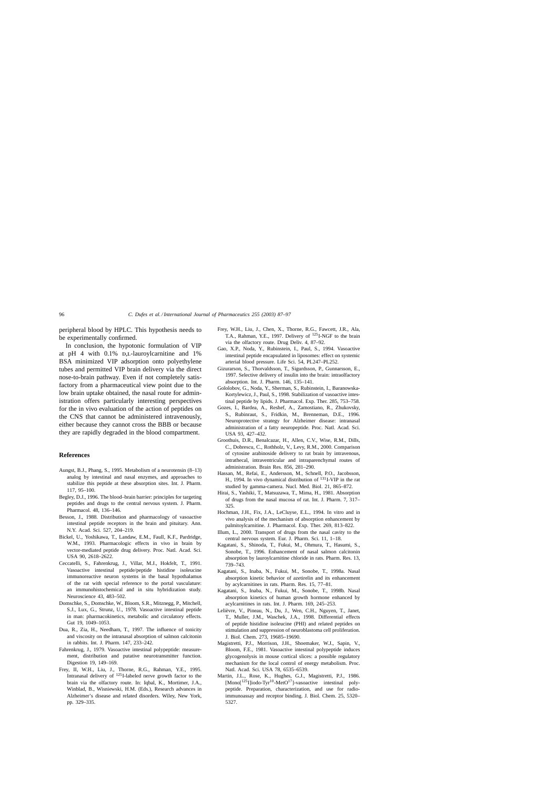<span id="page-9-0"></span>peripheral blood by HPLC. This hypothesis needs to be experimentally confirmed.

In conclusion, the hypotonic formulation of VIP at pH 4 with  $0.1\%$  D,L-lauroylcarnitine and  $1\%$ BSA minimized VIP adsorption onto polyethylene tubes and permitted VIP brain delivery via the direct nose-to-brain pathway. Even if not completely satisfactory from a pharmaceutical view point due to the low brain uptake obtained, the nasal route for administration offers particularly interesting perspectives for the in vivo evaluation of the action of peptides on the CNS that cannot be administered intravenously, either because they cannot cross the BBB or because they are rapidly degraded in the blood compartment.

#### **References**

- Aungst, B.J., Phang, S., 1995. Metabolism of a neurotensin (8–13) analog by intestinal and nasal enzymes, and approaches to stabilize this peptide at these absorption sites. Int. J. Pharm. 117, 95–100.
- Begley, D.J., 1996. The blood–brain barrier: principles for targeting peptides and drugs to the central nervous system. J. Pharm. Pharmacol. 48, 136–146.
- Besson, J., 1988. Distribution and pharmacology of vasoactive intestinal peptide receptors in the brain and pituitary. Ann. N.Y. Acad. Sci. 527, 204–219.
- Bickel, U., Yoshikawa, T., Landaw, E.M., Faull, K.F., Pardridge, W.M., 1993. Pharmacologic effects in vivo in brain by vector-mediated peptide drug delivery. Proc. Natl. Acad. Sci. USA 90, 2618–2622.
- Ceccatelli, S., Fahrenkrug, J., Villar, M.J., Hokfelt, T., 1991. Vasoactive intestinal peptide/peptide histidine isoleucine immunoreactive neuron systems in the basal hypothalamus of the rat with special reference to the portal vasculature: an immunohistochemical and in situ hybridization study. Neuroscience 43, 483–502.
- Domschke, S., Domschke, W., Bloom, S.R., Mitznegg, P., Mitchell, S.J., Lux, G., Strunz, U., 1978. Vasoactive intestinal peptide in man: pharmacokinetics, metabolic and circulatory effects. Gut 19, 1049–1053.
- Dua, R., Zia, H., Needham, T., 1997. The influence of tonicity and viscosity on the intranasal absorption of salmon calcitonin in rabbits. Int. J. Pharm. 147, 233–242.
- Fahrenkrug, J., 1979. Vasoactive intestinal polypeptide: measurement, distribution and putative neurotransmitter function. Digestion 19, 149–169.
- Frey, II, W.H., Liu, J., Thorne, R.G., Rahman, Y.E., 1995. Intranasal delivery of 125I-labeled nerve growth factor to the brain via the olfactory route. In: Iqbal, K., Mortimer, J.A., Winblad, B., Wisniewski, H.M. (Eds.), Research advances in Alzheimer's disease and related disorders. Wiley, New York, pp. 329–335.
- Frey, W.H., Liu, J., Chen, X., Thorne, R.G., Fawcett, J.R., Ala, T.A., Rahman, Y.E., 1997. Delivery of <sup>125</sup>I-NGF to the brain via the olfactory route. Drug Deliv. 4, 87–92.
- Gao, X.P., Noda, Y., Rubinstein, I., Paul, S., 1994. Vasoactive intestinal peptide encapsulated in liposomes: effect on systemic arterial blood pressure. Life Sci. 54, PL247–PL252.
- Gizurarson, S., Thorvaldsson, T., Sigurdsson, P., Gunnarsson, E., 1997. Selective delivery of insulin into the brain: intraolfactory absorption. Int. J. Pharm. 146, 135–141.
- Gololobov, G., Noda, Y., Sherman, S., Rubinstein, I., Baranowska-Kortylewicz, J., Paul, S., 1998. Stabilization of vasoactive intestinal peptide by lipids. J. Pharmacol. Exp. Ther. 285, 753–758.
- Gozes, I., Bardea, A., Reshef, A., Zamostiano, R., Zhukovsky, S., Rubinraut, S., Fridkin, M., Brenneman, D.E., 1996. Neuroprotective strategy for Alzheimer disease: intranasal administration of a fatty neuropeptide. Proc. Natl. Acad. Sci. USA 93, 427–432.
- Groothuis, D.R., Benalcazar, H., Allen, C.V., Wise, R.M., Dills, C., Dobrescu, C., Rothholz, V., Levy, R.M., 2000. Comparison of cytosine arabinoside delivery to rat brain by intravenous, intrathecal, intraventricular and intraparenchymal routes of administration. Brain Res. 856, 281–290.
- Hassan, M., Refai, E., Andersson, M., Schnell, P.O., Jacobsson, H., 1994. In vivo dynamical distribution of <sup>131</sup>I-VIP in the rat studied by gamma-camera. Nucl. Med. Biol. 21, 865–872.
- Hirai, S., Yashiki, T., Matsuzawa, T., Mima, H., 1981. Absorption of drugs from the nasal mucosa of rat. Int. J. Pharm. 7, 317– 325.
- Hochman, J.H., Fix, J.A., LeCluyse, E.L., 1994. In vitro and in vivo analysis of the mechanism of absorption enhancement by palmitoylcarnitine. J. Pharmacol. Exp. Ther. 269, 813–822.
- Illum, L., 2000. Transport of drugs from the nasal cavity to the central nervous system. Eur. J. Pharm. Sci. 11, 1–18.
- Kagatani, S., Shinoda, T., Fukui, M., Ohmura, T., Hasumi, S., Sonobe, T., 1996. Enhancement of nasal salmon calcitonin absorption by lauroylcarnitine chloride in rats. Pharm. Res. 13, 739–743.
- Kagatani, S., Inaba, N., Fukui, M., Sonobe, T., 1998a. Nasal absorption kinetic behavior of azetirelin and its enhancement by acylcarnitines in rats. Pharm. Res. 15, 77–81.
- Kagatani, S., Inaba, N., Fukui, M., Sonobe, T., 1998b. Nasal absorption kinetics of human growth hormone enhanced by acylcarnitines in rats. Int. J. Pharm. 169, 245–253.
- Lelièvre, V., Pineau, N., Du, J., Wen, C.H., Nguyen, T., Janet, T., Muller, J.M., Waschek, J.A., 1998. Differential effects of peptide histidine isoleucine (PHI) and related peptides on stimulation and suppression of neuroblastoma cell proliferation. J. Biol. Chem. 273, 19685–19690.
- Magistretti, P.J., Morrison, J.H., Shoemaker, W.J., Sapin, V., Bloom, F.E., 1981. Vasoactive intestinal polypeptide induces glycogenolysis in mouse cortical slices: a possible regulatory mechanism for the local control of energy metabolism. Proc. Natl. Acad. Sci. USA 78, 6535–6539.
- Martin, J.L., Rose, K., Hughes, G.J., Magistretti, P.J., 1986.  $[Mono[<sup>125</sup>Iliodo-Tvr<sup>10</sup>-MetO<sup>17</sup>]$ -vasoactive intestinal polypeptide. Preparation, characterization, and use for radioimmunoassay and receptor binding. J. Biol. Chem. 25, 5320– 5327.